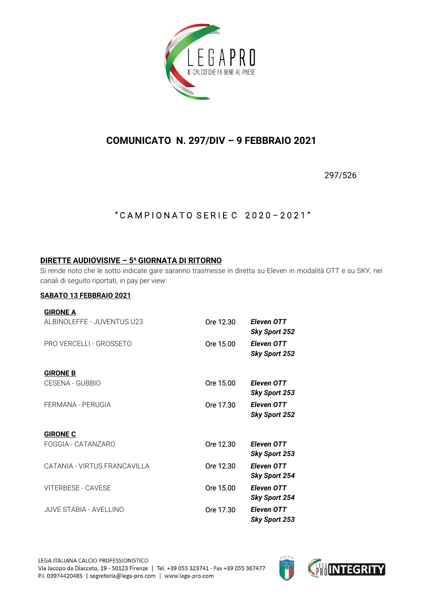

# **COMUNICATO N. 297/DIV – 9 FEBBRAIO 2021**

### 297/526

# $"$ CAMPIONATO SERIE C 2020-2021"

### **DIRETTE AUDIOVISIVE – 5 <sup>a</sup> GIORNATA DI RITORNO**

Si rende noto che le sotto indicate gare saranno trasmesse in diretta su Eleven in modalità OTT e su SKY, nei canali di seguito riportati, in pay per view:

#### **SABATO 13 FEBBRAIO 2021**

| <b>GIRONE A</b>              |           |                                    |
|------------------------------|-----------|------------------------------------|
| ALBINOLEFFE - JUVENTUS U23   | Ore 12.30 | Eleven OTT<br><b>Sky Sport 252</b> |
| PRO VERCELLI - GROSSETO      | Ore 15.00 | Eleven OTT<br><b>Sky Sport 252</b> |
| <b>GIRONE B</b>              |           |                                    |
| CESENA - GUBBIO              | Ore 15.00 | Eleven OTT<br><b>Sky Sport 253</b> |
| FERMANA - PERUGIA            | Ore 17.30 | Eleven OTT<br><b>Sky Sport 252</b> |
| <b>GIRONE C</b>              |           |                                    |
| FOGGIA - CATANZARO           | Ore 12.30 | Eleven OTT<br><b>Sky Sport 253</b> |
| CATANIA - VIRTUS FRANCAVILLA | Ore 12.30 | Eleven OTT<br><b>Sky Sport 254</b> |
| <b>VITERBESE - CAVESE</b>    | Ore 15.00 | Eleven OTT<br><b>Sky Sport 254</b> |
| JUVE STABIA - AVELLINO       | Ore 17.30 | Eleven OTT<br>Sky Sport 253        |